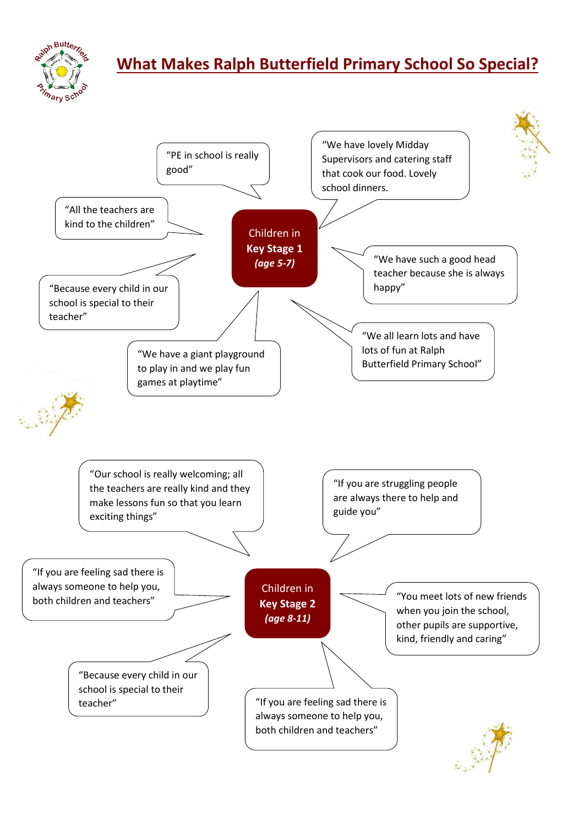

## **What Makes Ralph Butterfield Primary School So Special?**

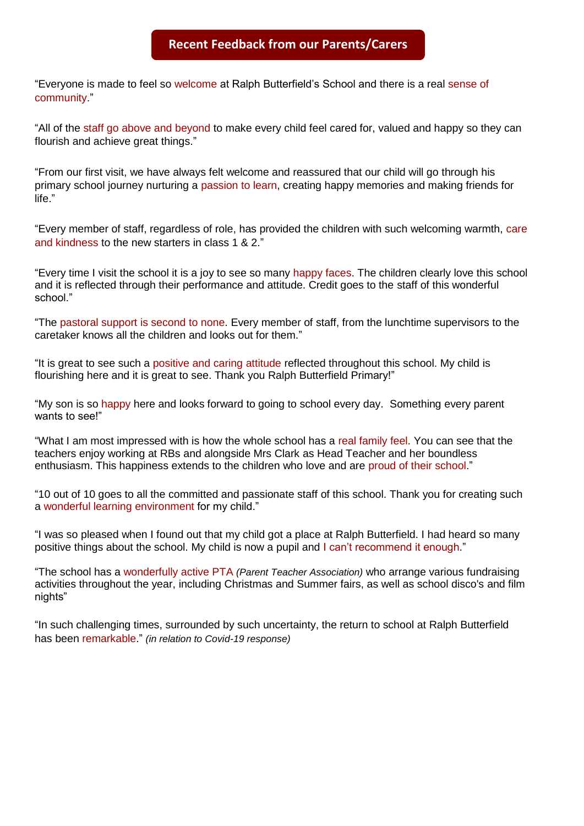## **Recent Feedback from our Parents/Carers**

"Everyone is made to feel so welcome at Ralph Butterfield's School and there is a real sense of community."

"All of the staff go above and beyond to make every child feel cared for, valued and happy so they can flourish and achieve great things."

"From our first visit, we have always felt welcome and reassured that our child will go through his primary school journey nurturing a passion to learn, creating happy memories and making friends for life."

"Every member of staff, regardless of role, has provided the children with such welcoming warmth, care and kindness to the new starters in class 1 & 2."

"Every time I visit the school it is a joy to see so many happy faces. The children clearly love this school and it is reflected through their performance and attitude. Credit goes to the staff of this wonderful school."

"The pastoral support is second to none. Every member of staff, from the lunchtime supervisors to the caretaker knows all the children and looks out for them."

"It is great to see such a positive and caring attitude reflected throughout this school. My child is flourishing here and it is great to see. Thank you Ralph Butterfield Primary!"

"My son is so happy here and looks forward to going to school every day. Something every parent wants to see!"

"What I am most impressed with is how the whole school has a real family feel. You can see that the teachers enjoy working at RBs and alongside Mrs Clark as Head Teacher and her boundless enthusiasm. This happiness extends to the children who love and are proud of their school."

"10 out of 10 goes to all the committed and passionate staff of this school. Thank you for creating such a wonderful learning environment for my child."

"I was so pleased when I found out that my child got a place at Ralph Butterfield. I had heard so many positive things about the school. My child is now a pupil and I can't recommend it enough."

"The school has a wonderfully active PTA *(Parent Teacher Association)* who arrange various fundraising activities throughout the year, including Christmas and Summer fairs, as well as school disco's and film nights"

"In such challenging times, surrounded by such uncertainty, the return to school at Ralph Butterfield has been remarkable." *(in relation to Covid-19 response)*